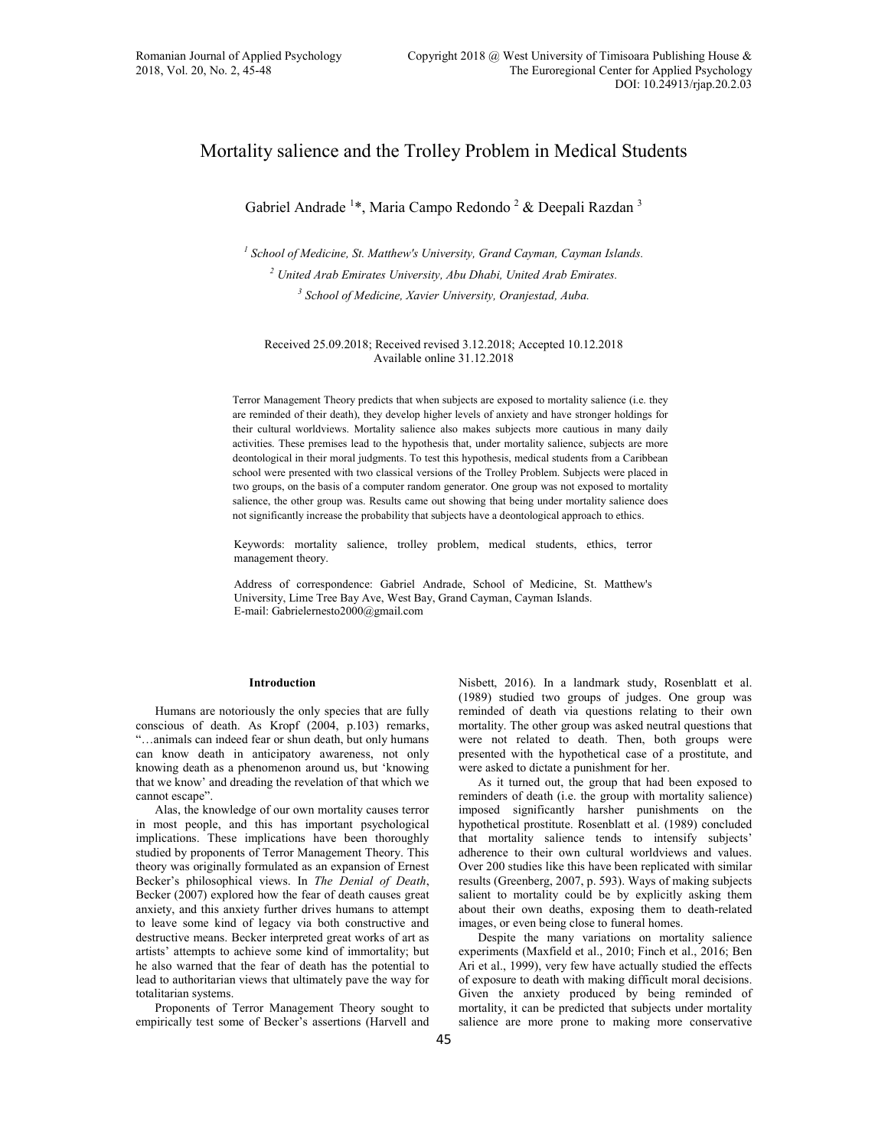# Mortality salience and the Trolley Problem in Medical Students

Gabriel Andrade<sup>1\*</sup>, Maria Campo Redondo<sup>2</sup> & Deepali Razdan<sup>3</sup>

<sup>1</sup> School of Medicine, St. Matthew's University, Grand Cayman, Cayman Islands. <sup>2</sup> United Arab Emirates University, Abu Dhabi, United Arab Emirates. <sup>3</sup> School of Medicine, Xavier University, Oranjestad, Auba.

Received 25.09.2018; Received revised 3.12.2018; Accepted 10.12.2018 Available online 31.12.2018

Terror Management Theory predicts that when subjects are exposed to mortality salience (i.e. they are reminded of their death), they develop higher levels of anxiety and have stronger holdings for their cultural worldviews. Mortality salience also makes subjects more cautious in many daily activities. These premises lead to the hypothesis that, under mortality salience, subjects are more deontological in their moral judgments. To test this hypothesis, medical students from a Caribbean school were presented with two classical versions of the Trolley Problem. Subjects were placed in two groups, on the basis of a computer random generator. One group was not exposed to mortality salience, the other group was. Results came out showing that being under mortality salience does not significantly increase the probability that subjects have a deontological approach to ethics.

Keywords: mortality salience, trolley problem, medical students, ethics, terror management theory.

Address of correspondence: Gabriel Andrade, School of Medicine, St. Matthew's University, Lime Tree Bay Ave, West Bay, Grand Cayman, Cayman Islands. E-mail: Gabrielernesto2000@gmail.com

## **Introduction**

Humans are notoriously the only species that are fully conscious of death. As Kropf (2004, p.103) remarks, "...animals can indeed fear or shun death, but only humans can know death in anticipatory awareness, not only knowing death as a phenomenon around us, but 'knowing that we know' and dreading the revelation of that which we cannot escape".

Alas, the knowledge of our own mortality causes terror in most people, and this has important psychological implications. These implications have been thoroughly studied by proponents of Terror Management Theory. This theory was originally formulated as an expansion of Ernest Becker's philosophical views. In The Denial of Death, Becker (2007) explored how the fear of death causes great anxiety, and this anxiety further drives humans to attempt to leave some kind of legacy via both constructive and destructive means. Becker interpreted great works of art as artists' attempts to achieve some kind of immortality; but he also warned that the fear of death has the potential to lead to authoritarian views that ultimately pave the way for totalitarian systems.

Proponents of Terror Management Theory sought to empirically test some of Becker's assertions (Harvell and Nisbett, 2016). In a landmark study, Rosenblatt et al. (1989) studied two groups of judges. One group was reminded of death via questions relating to their own mortality. The other group was asked neutral questions that were not related to death. Then, both groups were presented with the hypothetical case of a prostitute, and were asked to dictate a punishment for her.

As it turned out, the group that had been exposed to reminders of death (i.e. the group with mortality salience) imposed significantly harsher punishments on the hypothetical prostitute. Rosenblatt et al. (1989) concluded that mortality salience tends to intensify subjects' adherence to their own cultural worldviews and values. Over 200 studies like this have been replicated with similar results (Greenberg, 2007, p. 593). Ways of making subjects salient to mortality could be by explicitly asking them about their own deaths, exposing them to death-related images, or even being close to funeral homes.

Despite the many variations on mortality salience experiments (Maxfield et al., 2010; Finch et al., 2016; Ben Ari et al., 1999), very few have actually studied the effects of exposure to death with making difficult moral decisions. Given the anxiety produced by being reminded of mortality, it can be predicted that subjects under mortality salience are more prone to making more conservative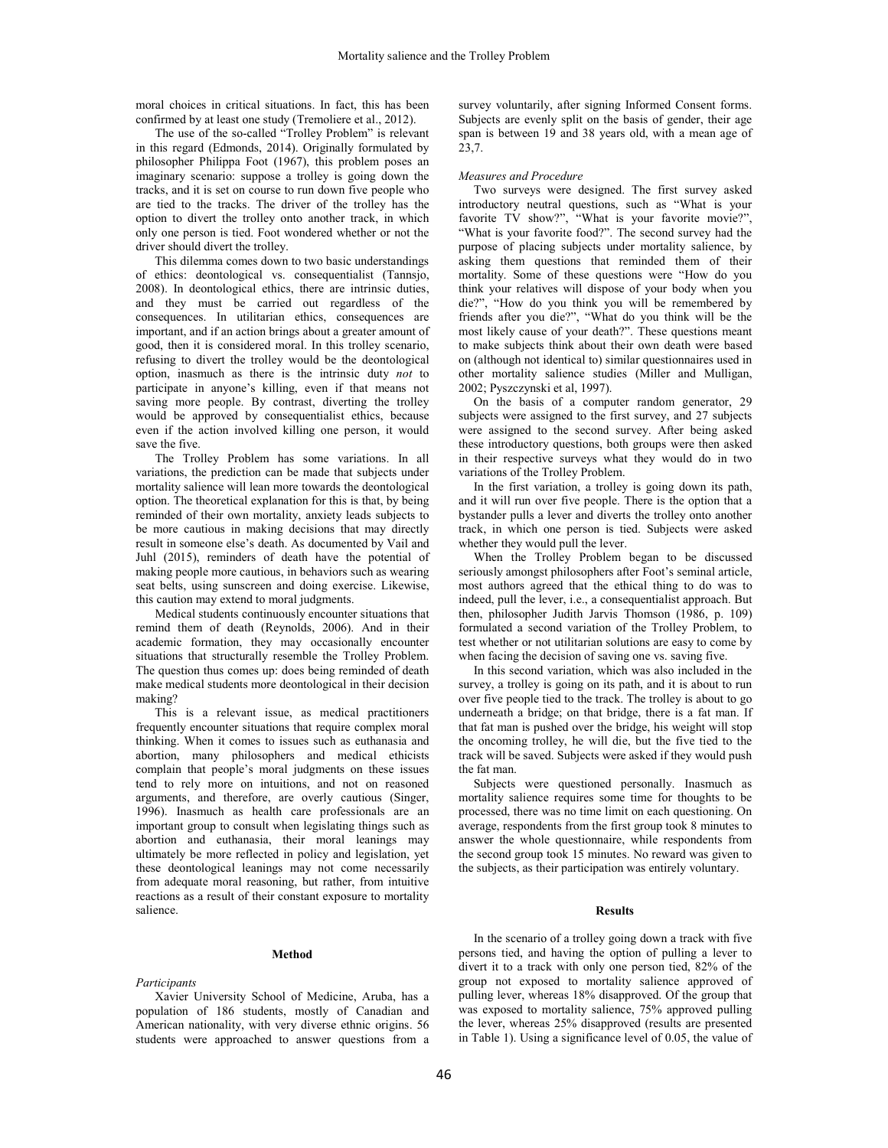moral choices in critical situations. In fact, this has been confirmed by at least one study (Tremoliere et al., 2012).

The use of the so-called "Trolley Problem" is relevant in this regard (Edmonds, 2014). Originally formulated by philosopher Philippa Foot (1967), this problem poses an imaginary scenario: suppose a trolley is going down the tracks, and it is set on course to run down five people who are tied to the tracks. The driver of the trolley has the option to divert the trolley onto another track, in which only one person is tied. Foot wondered whether or not the driver should divert the trolley.

This dilemma comes down to two basic understandings of ethics: deontological vs. consequentialist (Tannsjo, 2008). In deontological ethics, there are intrinsic duties, and they must be carried out regardless of the consequences. In utilitarian ethics, consequences are important, and if an action brings about a greater amount of good, then it is considered moral. In this trolley scenario, refusing to divert the trolley would be the deontological option, inasmuch as there is the intrinsic duty not to participate in anyone's killing, even if that means not saving more people. By contrast, diverting the trolley would be approved by consequentialist ethics, because even if the action involved killing one person, it would save the five.

The Trolley Problem has some variations. In all variations, the prediction can be made that subjects under mortality salience will lean more towards the deontological option. The theoretical explanation for this is that, by being reminded of their own mortality, anxiety leads subjects to be more cautious in making decisions that may directly result in someone else's death. As documented by Vail and Juhl (2015), reminders of death have the potential of making people more cautious, in behaviors such as wearing seat belts, using sunscreen and doing exercise. Likewise, this caution may extend to moral judgments.

Medical students continuously encounter situations that remind them of death (Reynolds, 2006). And in their academic formation, they may occasionally encounter situations that structurally resemble the Trolley Problem. The question thus comes up: does being reminded of death make medical students more deontological in their decision making?

This is a relevant issue, as medical practitioners frequently encounter situations that require complex moral thinking. When it comes to issues such as euthanasia and abortion, many philosophers and medical ethicists complain that people's moral judgments on these issues tend to rely more on intuitions, and not on reasoned arguments, and therefore, are overly cautious (Singer, 1996). Inasmuch as health care professionals are an important group to consult when legislating things such as abortion and euthanasia, their moral leanings may ultimately be more reflected in policy and legislation, yet these deontological leanings may not come necessarily from adequate moral reasoning, but rather, from intuitive reactions as a result of their constant exposure to mortality salience.

# **Method**

Participants

Xavier University School of Medicine, Aruba, has a population of 186 students, mostly of Canadian and American nationality, with very diverse ethnic origins. 56 students were approached to answer questions from a survey voluntarily, after signing Informed Consent forms. Subjects are evenly split on the basis of gender, their age span is between 19 and 38 years old, with a mean age of 23,7.

#### Measures and Procedure

Two surveys were designed. The first survey asked introductory neutral questions, such as "What is your favorite TV show?", "What is your favorite movie?", "What is your favorite food?". The second survey had the purpose of placing subjects under mortality salience, by asking them questions that reminded them of their mortality. Some of these questions were "How do you think your relatives will dispose of your body when you die?", "How do you think you will be remembered by friends after you die?", "What do you think will be the most likely cause of your death?". These questions meant to make subjects think about their own death were based on (although not identical to) similar questionnaires used in other mortality salience studies (Miller and Mulligan, 2002; Pyszczynski et al, 1997).

On the basis of a computer random generator, 29 subjects were assigned to the first survey, and 27 subjects were assigned to the second survey. After being asked these introductory questions, both groups were then asked in their respective surveys what they would do in two variations of the Trolley Problem.

In the first variation, a trolley is going down its path, and it will run over five people. There is the option that a bystander pulls a lever and diverts the trolley onto another track, in which one person is tied. Subjects were asked whether they would pull the lever.

When the Trolley Problem began to be discussed seriously amongst philosophers after Foot's seminal article, most authors agreed that the ethical thing to do was to indeed, pull the lever, i.e., a consequentialist approach. But then, philosopher Judith Jarvis Thomson (1986, p. 109) formulated a second variation of the Trolley Problem, to test whether or not utilitarian solutions are easy to come by when facing the decision of saving one vs. saving five.

In this second variation, which was also included in the survey, a trolley is going on its path, and it is about to run over five people tied to the track. The trolley is about to go underneath a bridge; on that bridge, there is a fat man. If that fat man is pushed over the bridge, his weight will stop the oncoming trolley, he will die, but the five tied to the track will be saved. Subjects were asked if they would push the fat man.

Subjects were questioned personally. Inasmuch as mortality salience requires some time for thoughts to be processed, there was no time limit on each questioning. On average, respondents from the first group took 8 minutes to answer the whole questionnaire, while respondents from the second group took 15 minutes. No reward was given to the subjects, as their participation was entirely voluntary.

#### **Results**

In the scenario of a trolley going down a track with five persons tied, and having the option of pulling a lever to divert it to a track with only one person tied, 82% of the group not exposed to mortality salience approved of pulling lever, whereas 18% disapproved. Of the group that was exposed to mortality salience, 75% approved pulling the lever, whereas 25% disapproved (results are presented in Table 1). Using a significance level of 0.05, the value of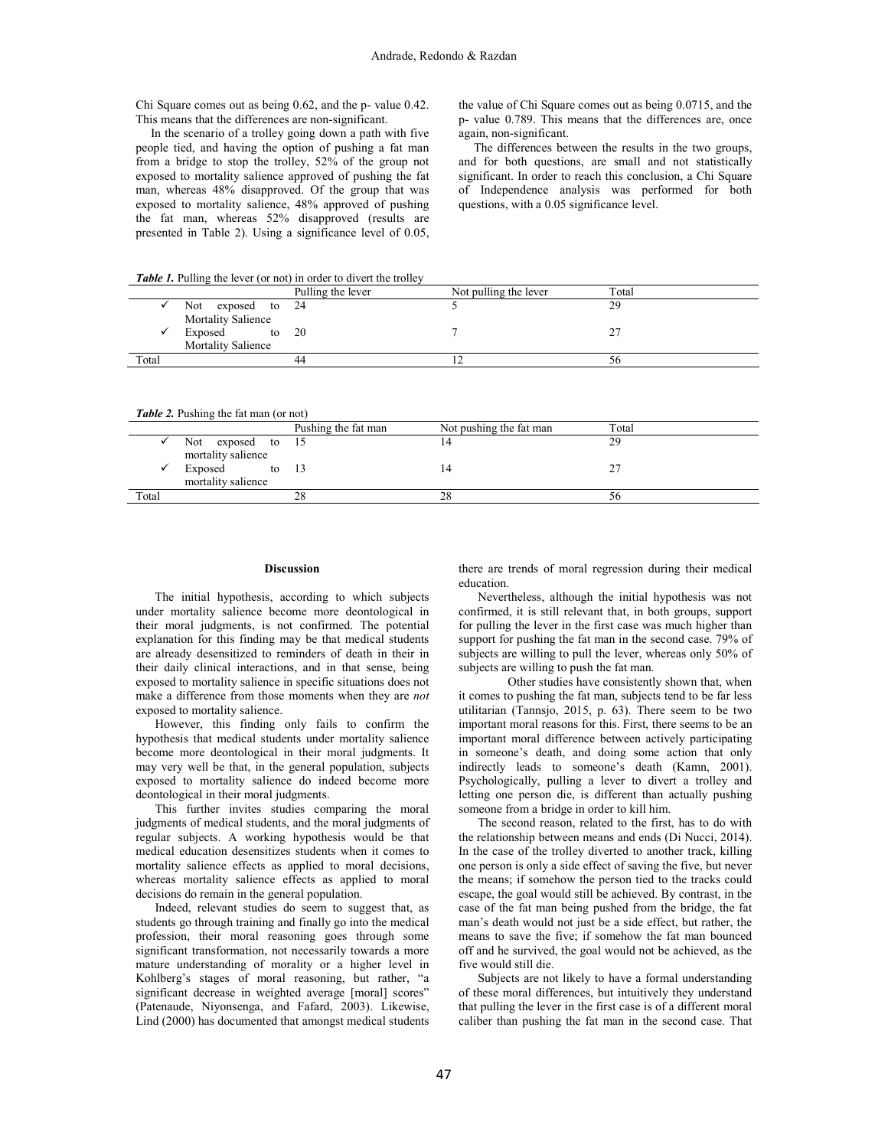Chi Square comes out as being 0.62, and the p- value 0.42. This means that the differences are non-significant.

In the scenario of a trolley going down a path with five people tied, and having the option of pushing a fat man from a bridge to stop the trolley, 52% of the group not exposed to mortality salience approved of pushing the fat man, whereas 48% disapproved. Of the group that was exposed to mortality salience, 48% approved of pushing the fat man, whereas 52% disapproved (results are presented in Table 2). Using a significance level of 0.05, the value of Chi Square comes out as being 0.0715, and the p- value 0.789. This means that the differences are, once again, non-significant.

The differences between the results in the two groups, and for both questions, are small and not statistically significant. In order to reach this conclusion, a Chi Square of Independence analysis was performed for both questions, with a 0.05 significance level.

Table 1 Pulling the lever (or not) in order to divert the trolley

| Twile 1. I alling the level (of not) in order to divert the troney |                           |                   |                       |       |  |  |  |
|--------------------------------------------------------------------|---------------------------|-------------------|-----------------------|-------|--|--|--|
|                                                                    |                           | Pulling the lever | Not pulling the lever | Total |  |  |  |
|                                                                    | Not<br>exposed to 24      |                   |                       | 29    |  |  |  |
|                                                                    | <b>Mortality Salience</b> |                   |                       |       |  |  |  |
|                                                                    | Exposed                   | to $20$           |                       |       |  |  |  |
|                                                                    | <b>Mortality Salience</b> |                   |                       |       |  |  |  |
| Total                                                              |                           | 44                |                       | 56    |  |  |  |
|                                                                    |                           |                   |                       |       |  |  |  |

Table 2. Pushing the fat man (or not)

| $\sim$ word $\sim$ . wonning the new man, (or new) |                                             |                     |                         |       |  |  |  |
|----------------------------------------------------|---------------------------------------------|---------------------|-------------------------|-------|--|--|--|
|                                                    |                                             | Pushing the fat man | Not pushing the fat man | Total |  |  |  |
|                                                    | Not.<br>exposed to 15<br>mortality salience |                     |                         | 29    |  |  |  |
|                                                    | Exposed<br>mortality salience               | to $13$             |                         |       |  |  |  |
| Total                                              |                                             | 28                  | 28                      | 5b    |  |  |  |
|                                                    |                                             |                     |                         |       |  |  |  |

#### **Discussion**

The initial hypothesis, according to which subjects under mortality salience become more deontological in their moral judgments, is not confirmed. The potential explanation for this finding may be that medical students are already desensitized to reminders of death in their in their daily clinical interactions, and in that sense, being exposed to mortality salience in specific situations does not make a difference from those moments when they are not exposed to mortality salience.

However, this finding only fails to confirm the hypothesis that medical students under mortality salience become more deontological in their moral judgments. It may very well be that, in the general population, subjects exposed to mortality salience do indeed become more deontological in their moral judgments.

This further invites studies comparing the moral judgments of medical students, and the moral judgments of regular subjects. A working hypothesis would be that medical education desensitizes students when it comes to mortality salience effects as applied to moral decisions, whereas mortality salience effects as applied to moral decisions do remain in the general population.

Indeed, relevant studies do seem to suggest that, as students go through training and finally go into the medical profession, their moral reasoning goes through some significant transformation, not necessarily towards a more mature understanding of morality or a higher level in Kohlberg's stages of moral reasoning, but rather, "a significant decrease in weighted average [moral] scores" (Patenaude, Niyonsenga, and Fafard, 2003). Likewise, Lind (2000) has documented that amongst medical students there are trends of moral regression during their medical education

Nevertheless, although the initial hypothesis was not confirmed, it is still relevant that, in both groups, support for pulling the lever in the first case was much higher than support for pushing the fat man in the second case. 79% of subjects are willing to pull the lever, whereas only 50% of subjects are willing to push the fat man.

Other studies have consistently shown that, when it comes to pushing the fat man, subjects tend to be far less utilitarian (Tannsjo, 2015, p. 63). There seem to be two important moral reasons for this. First, there seems to be an important moral difference between actively participating in someone's death, and doing some action that only indirectly leads to someone's death (Kamn, 2001). Psychologically, pulling a lever to divert a trolley and letting one person die, is different than actually pushing someone from a bridge in order to kill him.

The second reason, related to the first, has to do with the relationship between means and ends (Di Nucci, 2014). In the case of the trolley diverted to another track, killing one person is only a side effect of saving the five, but never the means; if somehow the person tied to the tracks could escape, the goal would still be achieved. By contrast, in the case of the fat man being pushed from the bridge, the fat man's death would not just be a side effect, but rather, the means to save the five; if somehow the fat man bounced off and he survived, the goal would not be achieved, as the five would still die.

Subjects are not likely to have a formal understanding of these moral differences, but intuitively they understand that pulling the lever in the first case is of a different moral caliber than pushing the fat man in the second case. That